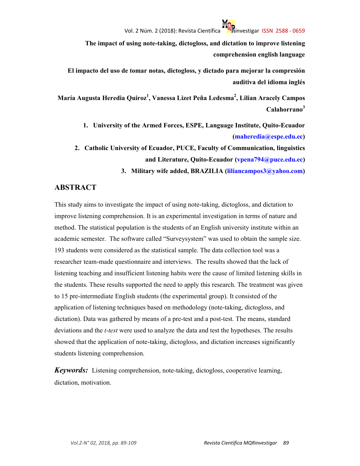**The impact of using note-taking, dictogloss, and dictation to improve listening comprehension english language** 

**El impacto del uso de tomar notas, dictogloss, y dictado para mejorar la compresión auditiva del idioma inglés** 

**María Augusta Heredia Quiroz<sup>1</sup> , Vanessa Lizet Peña Ledesma<sup>2</sup> , Lilian Aracely Campos Calahorrano<sup>3</sup>**

- **1. University of the Armed Forces, ESPE, Language Institute, Quito-Ecuador (maheredia@espe.edu.ec)**
- **2. Catholic University of Ecuador, PUCE, Faculty of Communication, linguistics and Literature, Quito-Ecuador (vpena794@puce.edu.ec)** 
	- **3. Military wife added, BRAZILIA (liliancampos3@yahoo.com)**

#### **ABSTRACT**

This study aims to investigate the impact of using note-taking, dictogloss, and dictation to improve listening comprehension. It is an experimental investigation in terms of nature and method. The statistical population is the students of an English university institute within an academic semester. The software called "Surveysystem" was used to obtain the sample size. 193 students were considered as the statistical sample. The data collection tool was a researcher team-made questionnaire and interviews. The results showed that the lack of listening teaching and insufficient listening habits were the cause of limited listening skills in the students. These results supported the need to apply this research. The treatment was given to 15 pre-intermediate English students (the experimental group). It consisted of the application of listening techniques based on methodology (note-taking, dictogloss, and dictation). Data was gathered by means of a pre-test and a post-test. The means, standard deviations and the *t-test* were used to analyze the data and test the hypotheses. The results showed that the application of note-taking, dictogloss, and dictation increases significantly students listening comprehension.

*Keywords:* Listening comprehension, note-taking, dictogloss, cooperative learning, dictation, motivation.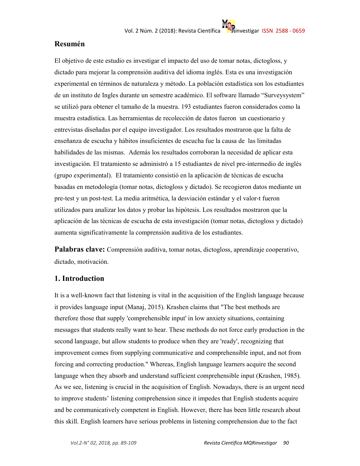#### **Resumén**

El objetivo de este estudio es investigar el impacto del uso de tomar notas, dictogloss, y dictado para mejorar la comprensión auditiva del idioma inglés. Esta es una investigación experimental en términos de naturaleza y método. La población estadística son los estudiantes de un instituto de Ingles durante un semestre académico. El software llamado "Surveysystem" se utilizó para obtener el tamaño de la muestra. 193 estudiantes fueron considerados como la muestra estadística. Las herramientas de recolección de datos fueron un cuestionario y entrevistas diseñadas por el equipo investigador. Los resultados mostraron que la falta de enseñanza de escucha y hábitos insuficientes de escucha fue la causa de las limitadas habilidades de las mismas. Además los resultados corroboran la necesidad de aplicar esta investigación. El tratamiento se administró a 15 estudiantes de nivel pre-intermedio de inglés (grupo experimental). El tratamiento consistió en la aplicación de técnicas de escucha basadas en metodología (tomar notas, dictogloss y dictado). Se recogieron datos mediante un pre-test y un post-test. La media aritmética, la desviación estándar y el valor-t fueron utilizados para analizar los datos y probar las hipótesis. Los resultados mostraron que la aplicación de las técnicas de escucha de esta investigación (tomar notas, dictogloss y dictado) aumenta significativamente la comprensión auditiva de los estudiantes.

**Palabras clave:** Comprensión auditiva, tomar notas, dictogloss, aprendizaje cooperativo, dictado, motivación.

#### **1. Introduction**

It is a well-known fact that listening is vital in the acquisition of the English language because it provides language input (Manaj, 2015). Krashen claims that "The best methods are therefore those that supply 'comprehensible input' in low anxiety situations, containing messages that students really want to hear. These methods do not force early production in the second language, but allow students to produce when they are 'ready', recognizing that improvement comes from supplying communicative and comprehensible input, and not from forcing and correcting production." Whereas, English language learners acquire the second language when they absorb and understand sufficient comprehensible input (Krashen, 1985). As we see, listening is crucial in the acquisition of English. Nowadays, there is an urgent need to improve students' listening comprehension since it impedes that English students acquire and be communicatively competent in English. However, there has been little research about this skill. English learners have serious problems in listening comprehension due to the fact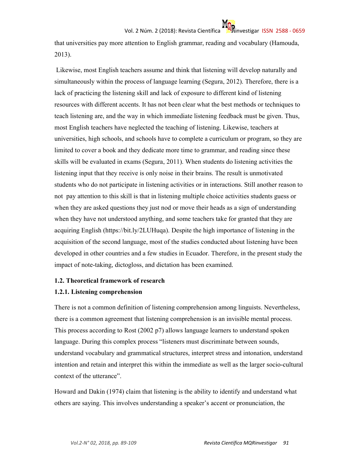that universities pay more attention to English grammar, reading and vocabulary (Hamouda, 2013).

 Likewise, most English teachers assume and think that listening will develop naturally and simultaneously within the process of language learning (Segura, 2012). Therefore, there is a lack of practicing the listening skill and lack of exposure to different kind of listening resources with different accents. It has not been clear what the best methods or techniques to teach listening are, and the way in which immediate listening feedback must be given. Thus, most English teachers have neglected the teaching of listening. Likewise, teachers at universities, high schools, and schools have to complete a curriculum or program, so they are limited to cover a book and they dedicate more time to grammar, and reading since these skills will be evaluated in exams (Segura, 2011). When students do listening activities the listening input that they receive is only noise in their brains. The result is unmotivated students who do not participate in listening activities or in interactions. Still another reason to not pay attention to this skill is that in listening multiple choice activities students guess or when they are asked questions they just nod or move their heads as a sign of understanding when they have not understood anything, and some teachers take for granted that they are acquiring English (https://bit.ly/2LUHuqa). Despite the high importance of listening in the acquisition of the second language, most of the studies conducted about listening have been developed in other countries and a few studies in Ecuador. Therefore, in the present study the impact of note-taking, dictogloss, and dictation has been examined.

#### **1.2. Theoretical framework of research**

#### **1.2.1. Listening comprehension**

There is not a common definition of listening comprehension among linguists. Nevertheless, there is a common agreement that listening comprehension is an invisible mental process. This process according to Rost (2002 p7) allows language learners to understand spoken language. During this complex process "listeners must discriminate between sounds, understand vocabulary and grammatical structures, interpret stress and intonation, understand intention and retain and interpret this within the immediate as well as the larger socio-cultural context of the utterance".

Howard and Dakin (1974) claim that listening is the ability to identify and understand what others are saying. This involves understanding a speaker's accent or pronunciation, the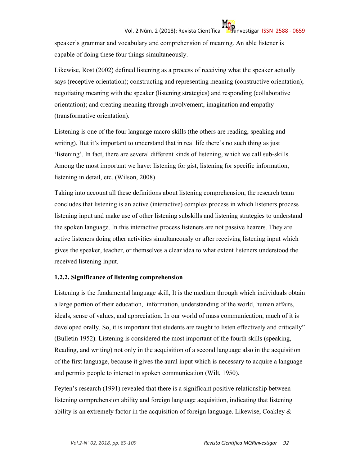speaker's grammar and vocabulary and comprehension of meaning. An able listener is capable of doing these four things simultaneously.

Likewise, Rost (2002) defined listening as a process of receiving what the speaker actually says (receptive orientation); constructing and representing meaning (constructive orientation); negotiating meaning with the speaker (listening strategies) and responding (collaborative orientation); and creating meaning through involvement, imagination and empathy (transformative orientation).

Listening is one of the four language macro skills (the others are reading, speaking and writing). But it's important to understand that in real life there's no such thing as just 'listening'. In fact, there are several different kinds of listening, which we call sub-skills. Among the most important we have: listening for gist, listening for specific information, listening in detail, etc. (Wilson, 2008)

Taking into account all these definitions about listening comprehension, the research team concludes that listening is an active (interactive) complex process in which listeners process listening input and make use of other listening subskills and listening strategies to understand the spoken language. In this interactive process listeners are not passive hearers. They are active listeners doing other activities simultaneously or after receiving listening input which gives the speaker, teacher, or themselves a clear idea to what extent listeners understood the received listening input.

#### **1.2.2. Significance of listening comprehension**

Listening is the fundamental language skill, It is the medium through which individuals obtain a large portion of their education, information, understanding of the world, human affairs, ideals, sense of values, and appreciation. In our world of mass communication, much of it is developed orally. So, it is important that students are taught to listen effectively and critically" (Bulletin 1952). Listening is considered the most important of the fourth skills (speaking, Reading, and writing) not only in the acquisition of a second language also in the acquisition of the first language, because it gives the aural input which is necessary to acquire a language and permits people to interact in spoken communication (Wilt, 1950).

Feyten's research (1991) revealed that there is a significant positive relationship between listening comprehension ability and foreign language acquisition, indicating that listening ability is an extremely factor in the acquisition of foreign language. Likewise, Coakley  $\&$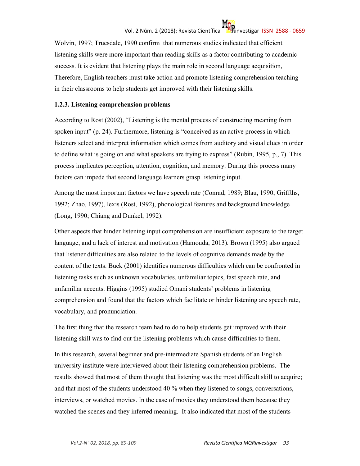Wolvin, 1997; Truesdale, 1990 confirm that numerous studies indicated that efficient listening skills were more important than reading skills as a factor contributing to academic success. It is evident that listening plays the main role in second language acquisition, Therefore, English teachers must take action and promote listening comprehension teaching in their classrooms to help students get improved with their listening skills.

#### **1.2.3. Listening comprehension problems**

According to Rost (2002), "Listening is the mental process of constructing meaning from spoken input" (p. 24). Furthermore, listening is "conceived as an active process in which listeners select and interpret information which comes from auditory and visual clues in order to define what is going on and what speakers are trying to express" (Rubin, 1995, p., 7). This process implicates perception, attention, cognition, and memory. During this process many factors can impede that second language learners grasp listening input.

Among the most important factors we have speech rate (Conrad, 1989; Blau, 1990; Griffths, 1992; Zhao, 1997), lexis (Rost, 1992), phonological features and background knowledge (Long, 1990; Chiang and Dunkel, 1992).

Other aspects that hinder listening input comprehension are insufficient exposure to the target language, and a lack of interest and motivation (Hamouda, 2013). Brown (1995) also argued that listener difficulties are also related to the levels of cognitive demands made by the content of the texts. Buck (2001) identifies numerous difficulties which can be confronted in listening tasks such as unknown vocabularies, unfamiliar topics, fast speech rate, and unfamiliar accents. Higgins (1995) studied Omani students' problems in listening comprehension and found that the factors which facilitate or hinder listening are speech rate, vocabulary, and pronunciation.

The first thing that the research team had to do to help students get improved with their listening skill was to find out the listening problems which cause difficulties to them.

In this research, several beginner and pre-intermediate Spanish students of an English university institute were interviewed about their listening comprehension problems. The results showed that most of them thought that listening was the most difficult skill to acquire; and that most of the students understood 40 % when they listened to songs, conversations, interviews, or watched movies. In the case of movies they understood them because they watched the scenes and they inferred meaning. It also indicated that most of the students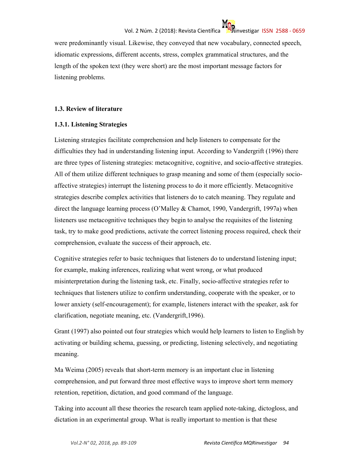were predominantly visual. Likewise, they conveyed that new vocabulary, connected speech, idiomatic expressions, different accents, stress, complex grammatical structures, and the length of the spoken text (they were short) are the most important message factors for listening problems.

#### **1.3. Review of literature**

#### **1.3.1. Listening Strategies**

Listening strategies facilitate comprehension and help listeners to compensate for the difficulties they had in understanding listening input. According to Vandergrift (1996) there are three types of listening strategies: metacognitive, cognitive, and socio-affective strategies. All of them utilize different techniques to grasp meaning and some of them (especially socioaffective strategies) interrupt the listening process to do it more efficiently. Metacognitive strategies describe complex activities that listeners do to catch meaning. They regulate and direct the language learning process (O'Malley & Chamot, 1990, Vandergrift, 1997a) when listeners use metacognitive techniques they begin to analyse the requisites of the listening task, try to make good predictions, activate the correct listening process required, check their comprehension, evaluate the success of their approach, etc.

Cognitive strategies refer to basic techniques that listeners do to understand listening input; for example, making inferences, realizing what went wrong, or what produced misinterpretation during the listening task, etc. Finally, socio-affective strategies refer to techniques that listeners utilize to confirm understanding, cooperate with the speaker, or to lower anxiety (self-encouragement); for example, listeners interact with the speaker, ask for clarification, negotiate meaning, etc. (Vandergrift,1996).

Grant (1997) also pointed out four strategies which would help learners to listen to English by activating or building schema, guessing, or predicting, listening selectively, and negotiating meaning.

Ma Weima (2005) reveals that short-term memory is an important clue in listening comprehension, and put forward three most effective ways to improve short term memory retention, repetition, dictation, and good command of the language.

Taking into account all these theories the research team applied note-taking, dictogloss, and dictation in an experimental group. What is really important to mention is that these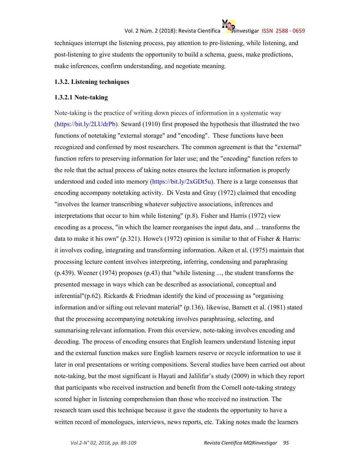techniques interrupt the listening process, pay attention to pre-listening, while listening, and post-listening to give students the opportunity to build a schema, guess, make predictions, make inferences, confirm understanding, and negotiate meaning.

#### **1.3.2. Listening techniques**

#### **1.3.2.1 Note-taking**

Note-taking is the practice of writing down pieces of information in a systematic way (https://bit.ly/2LUdrPb). Seward (1910) first proposed the hypothesis that illustrated the two functions of notetaking "external storage" and "encoding". These functions have been recognized and confirmed by most researchers. The common agreement is that the "external" function refers to preserving information for later use; and the "encoding" function refers to the role that the actual process of taking notes ensures the lecture information is properly understood and coded into memory (https://bit.ly/2xGDt5u). There is a large consensus that encoding accompany notetaking activity. Di Vesta and Gray (1972) claimed that encoding "involves the learner transcribing whatever subjective associations, inferences and interpretations that occur to him while listening" (p.8). Fisher and Harris (1972) view encoding as a process, "in which the learner reorganises the input data, and ... transforms the data to make it his own" (p.321). Howe's (1972) opinion is similar to that of Fisher & Harris: it involves coding, integrating and transforming information. Aiken et al. (1975) maintain that processing lecture content involves interpreting, inferring, condensing and paraphrasing (p.439). Weener (1974) proposes (p.43) that ''while listening ..., the student transforms the presented message in ways which can be described as associational, conceptual and inferential"( $p.62$ ). Rickards & Friedman identify the kind of processing as "organising information and/or sifting out relevant material" (p.136). likewise, Barnett et al. (1981) stated that the processing accompanying notetaking involves paraphrasing, selecting, and summarising relevant information. From this overview, note-taking involves encoding and decoding. The process of encoding ensures that English learners understand listening input and the external function makes sure English learners reserve or recycle information to use it later in oral presentations or writing compositions. Several studies have been carried out about note-taking, but the most significant is Hayati and Jalilifar's study (2009) in which they report that participants who received instruction and benefit from the Cornell note-taking strategy scored higher in listening comprehension than those who received no instruction. The research team used this technique because it gave the students the opportunity to have a written record of monologues, interviews, news reports, etc. Taking notes made the learners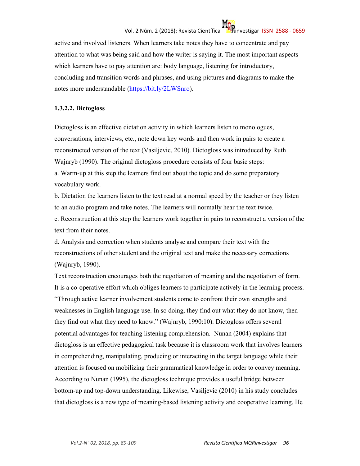## Vol. 2 Núm. 2 (2018): Revista Científica **inclusió a marca de la contra de la contra de la contra de la contra**

active and involved listeners. When learners take notes they have to concentrate and pay attention to what was being said and how the writer is saying it. The most important aspects which learners have to pay attention are: body language, listening for introductory, concluding and transition words and phrases, and using pictures and diagrams to make the notes more understandable (https://bit.ly/2LWSnro).

#### **1.3.2.2. Dictogloss**

Dictogloss is an effective dictation activity in which learners listen to monologues, conversations, interviews, etc., note down key words and then work in pairs to create a reconstructed version of the text (Vasiljevic, 2010). Dictogloss was introduced by Ruth Wajnryb (1990). The original dictogloss procedure consists of four basic steps: a. Warm-up at this step the learners find out about the topic and do some preparatory

vocabulary work.

b. Dictation the learners listen to the text read at a normal speed by the teacher or they listen to an audio program and take notes. The learners will normally hear the text twice.

c. Reconstruction at this step the learners work together in pairs to reconstruct a version of the text from their notes.

d. Analysis and correction when students analyse and compare their text with the reconstructions of other student and the original text and make the necessary corrections (Wajnryb, 1990).

Text reconstruction encourages both the negotiation of meaning and the negotiation of form. It is a co-operative effort which obliges learners to participate actively in the learning process. "Through active learner involvement students come to confront their own strengths and weaknesses in English language use. In so doing, they find out what they do not know, then they find out what they need to know." (Wajnryb, 1990:10). Dictogloss offers several potential advantages for teaching listening comprehension. Nunan (2004) explains that dictogloss is an effective pedagogical task because it is classroom work that involves learners in comprehending, manipulating, producing or interacting in the target language while their attention is focused on mobilizing their grammatical knowledge in order to convey meaning. According to Nunan (1995), the dictogloss technique provides a useful bridge between bottom-up and top-down understanding. Likewise, Vasiljevic (2010) in his study concludes that dictogloss is a new type of meaning-based listening activity and cooperative learning. He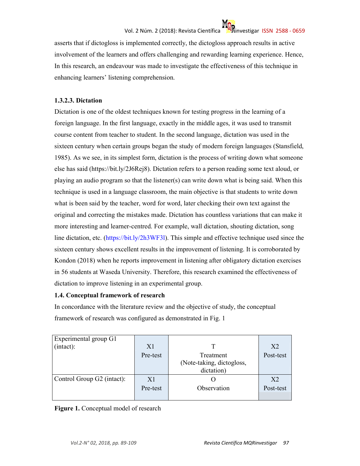

asserts that if dictogloss is implemented correctly, the dictogloss approach results in active involvement of the learners and offers challenging and rewarding learning experience. Hence, In this research, an endeavour was made to investigate the effectiveness of this technique in enhancing learners' listening comprehension.

#### **1.3.2.3. Dictation**

Dictation is one of the oldest techniques known for testing progress in the learning of a foreign language. In the first language, exactly in the middle ages, it was used to transmit course content from teacher to student. In the second language, dictation was used in the sixteen century when certain groups began the study of modern foreign languages (Stansfield, 1985). As we see, in its simplest form, dictation is the process of writing down what someone else has said (https://bit.ly/2J6Rej8). Dictation refers to a person reading some text aloud, or playing an audio program so that the listener(s) can write down what is being said. When this technique is used in a language classroom, the main objective is that students to write down what is been said by the teacher, word for word, later checking their own text against the original and correcting the mistakes made. Dictation has countless variations that can make it more interesting and learner-centred. For example, wall dictation, shouting dictation, song line dictation, etc. (https://bit.ly/2h3WF3l). This simple and effective technique used since the sixteen century shows excellent results in the improvement of listening. It is corroborated by Kondon (2018) when he reports improvement in listening after obligatory dictation exercises in 56 students at Waseda University. Therefore, this research examined the effectiveness of dictation to improve listening in an experimental group.

#### **1.4. Conceptual framework of research**

In concordance with the literature review and the objective of study, the conceptual framework of research was configured as demonstrated in Fig. 1

| Experimental group G1      |          |                           |                |
|----------------------------|----------|---------------------------|----------------|
| (intact):                  | X1       | T                         | X <sub>2</sub> |
|                            | Pre-test | Treatment                 | Post-test      |
|                            |          | (Note-taking, dictogloss, |                |
|                            |          | dictation)                |                |
| Control Group G2 (intact): | X1       |                           | X <sub>2</sub> |
|                            | Pre-test | Observation               | Post-test      |
|                            |          |                           |                |

**Figure 1.** Conceptual model of research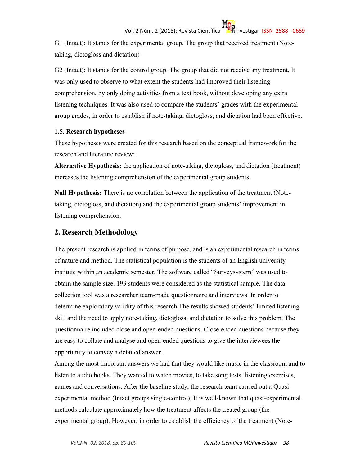G1 (Intact): It stands for the experimental group. The group that received treatment (Notetaking, dictogloss and dictation)

G2 (Intact): It stands for the control group. The group that did not receive any treatment. It was only used to observe to what extent the students had improved their listening comprehension, by only doing activities from a text book, without developing any extra listening techniques. It was also used to compare the students' grades with the experimental group grades, in order to establish if note-taking, dictogloss, and dictation had been effective.

#### **1.5. Research hypotheses**

These hypotheses were created for this research based on the conceptual framework for the research and literature review:

**Alternative Hypothesis:** the application of note-taking, dictogloss, and dictation (treatment) increases the listening comprehension of the experimental group students.

**Null Hypothesis:** There is no correlation between the application of the treatment (Notetaking, dictogloss, and dictation) and the experimental group students' improvement in listening comprehension.

#### **2. Research Methodology**

The present research is applied in terms of purpose, and is an experimental research in terms of nature and method. The statistical population is the students of an English university institute within an academic semester. The software called "Surveysystem" was used to obtain the sample size. 193 students were considered as the statistical sample. The data collection tool was a researcher team-made questionnaire and interviews. In order to determine exploratory validity of this research.The results showed students' limited listening skill and the need to apply note-taking, dictogloss, and dictation to solve this problem. The questionnaire included close and open-ended questions. Close-ended questions because they are easy to collate and analyse and open-ended questions to give the interviewees the opportunity to convey a detailed answer.

Among the most important answers we had that they would like music in the classroom and to listen to audio books. They wanted to watch movies, to take song tests, listening exercises, games and conversations. After the baseline study, the research team carried out a Quasiexperimental method (Intact groups single-control). It is well-known that quasi-experimental methods calculate approximately how the treatment affects the treated group (the experimental group). However, in order to establish the efficiency of the treatment (Note-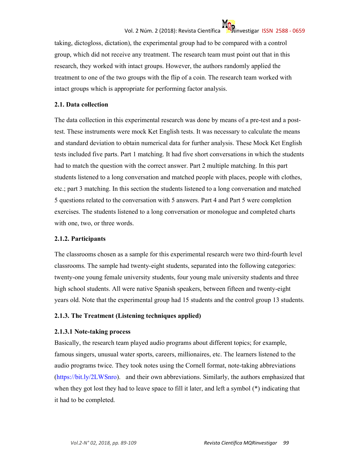# Vol. 2 Núm. 2 (2018): Revista Científica **inclusive contra investigar ISSN 2588 - 0659**

taking, dictogloss, dictation), the experimental group had to be compared with a control group, which did not receive any treatment. The research team must point out that in this research, they worked with intact groups. However, the authors randomly applied the treatment to one of the two groups with the flip of a coin. The research team worked with intact groups which is appropriate for performing factor analysis.

#### **2.1. Data collection**

The data collection in this experimental research was done by means of a pre-test and a posttest. These instruments were mock Ket English tests. It was necessary to calculate the means and standard deviation to obtain numerical data for further analysis. These Mock Ket English tests included five parts. Part 1 matching. It had five short conversations in which the students had to match the question with the correct answer. Part 2 multiple matching. In this part students listened to a long conversation and matched people with places, people with clothes, etc.; part 3 matching. In this section the students listened to a long conversation and matched 5 questions related to the conversation with 5 answers. Part 4 and Part 5 were completion exercises. The students listened to a long conversation or monologue and completed charts with one, two, or three words.

#### **2.1.2. Participants**

The classrooms chosen as a sample for this experimental research were two third-fourth level classrooms. The sample had twenty-eight students, separated into the following categories: twenty-one young female university students, four young male university students and three high school students. All were native Spanish speakers, between fifteen and twenty-eight years old. Note that the experimental group had 15 students and the control group 13 students.

#### **2.1.3. The Treatment (Listening techniques applied)**

#### **2.1.3.1 Note-taking process**

Basically, the research team played audio programs about different topics; for example, famous singers, unusual water sports, careers, millionaires, etc. The learners listened to the audio programs twice. They took notes using the Cornell format, note-taking abbreviations (https://bit.ly/2LWSnro). and their own abbreviations. Similarly, the authors emphasized that when they got lost they had to leave space to fill it later, and left a symbol (\*) indicating that it had to be completed.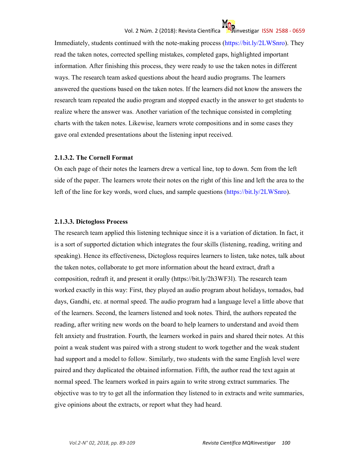### Vol. 2 Núm. 2 (2018): Revista Científica investigar ISSN 2588 - 0659

Immediately, students continued with the note-making process (https://bit.ly/2LWSnro). They read the taken notes, corrected spelling mistakes, completed gaps, highlighted important information. After finishing this process, they were ready to use the taken notes in different ways. The research team asked questions about the heard audio programs. The learners answered the questions based on the taken notes. If the learners did not know the answers the research team repeated the audio program and stopped exactly in the answer to get students to realize where the answer was. Another variation of the technique consisted in completing charts with the taken notes. Likewise, learners wrote compositions and in some cases they gave oral extended presentations about the listening input received.

#### **2.1.3.2. The Cornell Format**

On each page of their notes the learners drew a vertical line, top to down. 5cm from the left side of the paper. The learners wrote their notes on the right of this line and left the area to the left of the line for key words, word clues, and sample questions (https://bit.ly/2LWSnro).

#### **2.1.3.3. Dictogloss Process**

The research team applied this listening technique since it is a variation of dictation. In fact, it is a sort of supported dictation which integrates the four skills (listening, reading, writing and speaking). Hence its effectiveness, Dictogloss requires learners to listen, take notes, talk about the taken notes, collaborate to get more information about the heard extract, draft a composition, redraft it, and present it orally (https://bit.ly/2h3WF3l). The research team worked exactly in this way: First, they played an audio program about holidays, tornados, bad days, Gandhi, etc. at normal speed. The audio program had a language level a little above that of the learners. Second, the learners listened and took notes. Third, the authors repeated the reading, after writing new words on the board to help learners to understand and avoid them felt anxiety and frustration. Fourth, the learners worked in pairs and shared their notes. At this point a weak student was paired with a strong student to work together and the weak student had support and a model to follow. Similarly, two students with the same English level were paired and they duplicated the obtained information. Fifth, the author read the text again at normal speed. The learners worked in pairs again to write strong extract summaries. The objective was to try to get all the information they listened to in extracts and write summaries, give opinions about the extracts, or report what they had heard.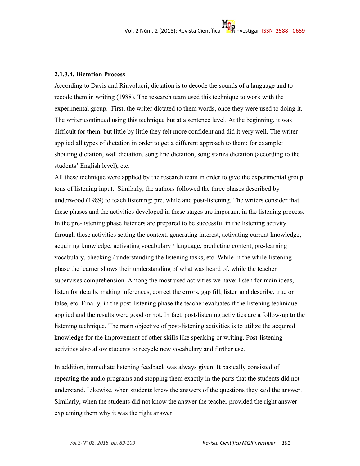#### **2.1.3.4. Dictation Process**

According to Davis and Rinvolucri, dictation is to decode the sounds of a language and to recode them in writing (1988). The research team used this technique to work with the experimental group. First, the writer dictated to them words, once they were used to doing it. The writer continued using this technique but at a sentence level. At the beginning, it was difficult for them, but little by little they felt more confident and did it very well. The writer applied all types of dictation in order to get a different approach to them; for example: shouting dictation, wall dictation, song line dictation, song stanza dictation (according to the students' English level), etc.

All these technique were applied by the research team in order to give the experimental group tons of listening input. Similarly, the authors followed the three phases described by underwood (1989) to teach listening: pre, while and post-listening. The writers consider that these phases and the activities developed in these stages are important in the listening process. In the pre-listening phase listeners are prepared to be successful in the listening activity through these activities setting the context, generating interest, activating current knowledge, acquiring knowledge, activating vocabulary / language, predicting content, pre-learning vocabulary, checking / understanding the listening tasks, etc. While in the while-listening phase the learner shows their understanding of what was heard of, while the teacher supervises comprehension. Among the most used activities we have: listen for main ideas, listen for details, making inferences, correct the errors, gap fill, listen and describe, true or false, etc. Finally, in the post-listening phase the teacher evaluates if the listening technique applied and the results were good or not. In fact, post-listening activities are a follow-up to the listening technique. The main objective of post-listening activities is to utilize the acquired knowledge for the improvement of other skills like speaking or writing. Post-listening activities also allow students to recycle new vocabulary and further use.

In addition, immediate listening feedback was always given. It basically consisted of repeating the audio programs and stopping them exactly in the parts that the students did not understand. Likewise, when students knew the answers of the questions they said the answer. Similarly, when the students did not know the answer the teacher provided the right answer explaining them why it was the right answer.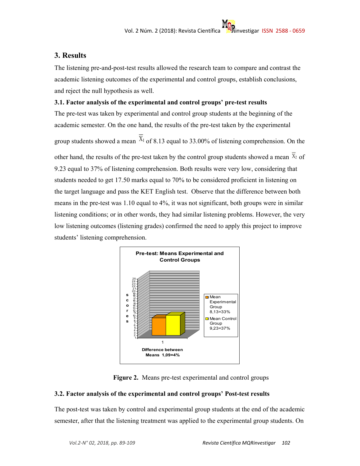#### **3. Results**

The listening pre-and-post-test results allowed the research team to compare and contrast the academic listening outcomes of the experimental and control groups, establish conclusions, and reject the null hypothesis as well.

#### **3.1. Factor analysis of the experimental and control groups' pre-test results**

The pre-test was taken by experimental and control group students at the beginning of the academic semester. On the one hand, the results of the pre-test taken by the experimental

group students showed a mean  $X_1$  of 8.13 equal to 33.00% of listening comprehension. On the

other hand, the results of the pre-test taken by the control group students showed a mean  $\bar{x}_2$  of 9.23 equal to 37% of listening comprehension. Both results were very low, considering that students needed to get 17.50 marks equal to 70% to be considered proficient in listening on the target language and pass the KET English test. Observe that the difference between both means in the pre-test was 1.10 equal to 4%, it was not significant, both groups were in similar listening conditions; or in other words, they had similar listening problems. However, the very low listening outcomes (listening grades) confirmed the need to apply this project to improve students' listening comprehension.



**Figure 2.** Means pre-test experimental and control groups

#### **3.2. Factor analysis of the experimental and control groups' Post-test results**

The post-test was taken by control and experimental group students at the end of the academic semester, after that the listening treatment was applied to the experimental group students. On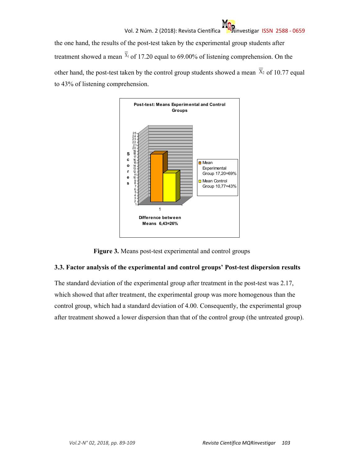the one hand, the results of the post-test taken by the experimental group students after treatment showed a mean  $\bar{x}_1$  of 17.20 equal to 69.00% of listening comprehension. On the other hand, the post-test taken by the control group students showed a mean  $\overline{X}_2$  of 10.77 equal to 43% of listening comprehension.



**Figure 3.** Means post-test experimental and control groups

#### **3.3. Factor analysis of the experimental and control groups' Post-test dispersion results**

The standard deviation of the experimental group after treatment in the post-test was 2.17, which showed that after treatment, the experimental group was more homogenous than the control group, which had a standard deviation of 4.00. Consequently, the experimental group after treatment showed a lower dispersion than that of the control group (the untreated group).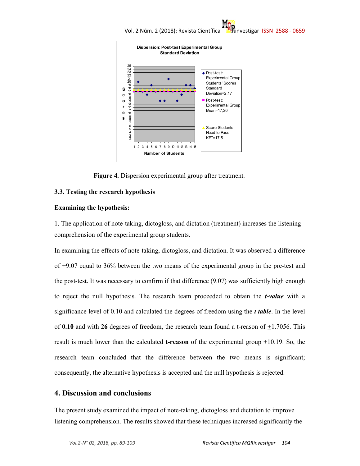



**Figure 4.** Dispersion experimental group after treatment.

#### **3.3. Testing the research hypothesis**

#### **Examining the hypothesis:**

1. The application of note-taking, dictogloss, and dictation (treatment) increases the listening comprehension of the experimental group students.

In examining the effects of note-taking, dictogloss, and dictation. It was observed a difference of +9.07 equal to 36% between the two means of the experimental group in the pre-test and the post-test. It was necessary to confirm if that difference (9.07) was sufficiently high enough to reject the null hypothesis. The research team proceeded to obtain the *t-value* with a significance level of 0.10 and calculated the degrees of freedom using the *t table*. In the level of  $0.10$  and with  $26$  degrees of freedom, the research team found a t-reason of  $\pm 1.7056$ . This result is much lower than the calculated **t-reason** of the experimental group  $\pm 10.19$ . So, the research team concluded that the difference between the two means is significant; consequently, the alternative hypothesis is accepted and the null hypothesis is rejected.

#### **4. Discussion and conclusions**

The present study examined the impact of note-taking, dictogloss and dictation to improve listening comprehension. The results showed that these techniques increased significantly the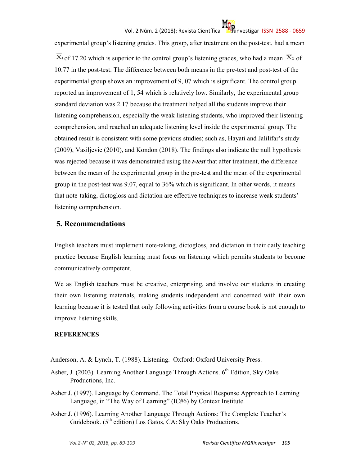### Vol. 2 Núm. 2 (2018): Revista Científica investigar ISSN 2588 - 0659

experimental group's listening grades. This group, after treatment on the post-test, had a mean  $\overline{X}_1$  of 17.20 which is superior to the control group's listening grades, who had a mean  $\overline{X}_2$  of 10.77 in the post-test. The difference between both means in the pre-test and post-test of the experimental group shows an improvement of 9, 07 which is significant. The control group reported an improvement of 1, 54 which is relatively low. Similarly, the experimental group standard deviation was 2.17 because the treatment helped all the students improve their listening comprehension, especially the weak listening students, who improved their listening comprehension, and reached an adequate listening level inside the experimental group. The obtained result is consistent with some previous studies; such as, Hayati and Jalilifar's study (2009), Vasiljevic (2010), and Kondon (2018). The findings also indicate the null hypothesis was rejected because it was demonstrated using the *t-test* that after treatment, the difference between the mean of the experimental group in the pre-test and the mean of the experimental group in the post-test was 9.07, equal to 36% which is significant. In other words, it means that note-taking, dictogloss and dictation are effective techniques to increase weak students' listening comprehension.

#### **5. Recommendations**

English teachers must implement note-taking, dictogloss, and dictation in their daily teaching practice because English learning must focus on listening which permits students to become communicatively competent.

We as English teachers must be creative, enterprising, and involve our students in creating their own listening materials, making students independent and concerned with their own learning because it is tested that only following activities from a course book is not enough to improve listening skills.

#### **REFERENCES**

Anderson, A. & Lynch, T. (1988). Listening. Oxford: Oxford University Press.

- Asher, J. (2003). Learning Another Language Through Actions. 6<sup>th</sup> Edition, Sky Oaks Productions, Inc.
- Asher J. (1997). Language by Command. The Total Physical Response Approach to Learning Language, in "The Way of Learning" (IC#6) by Context Institute.
- Asher J. (1996). Learning Another Language Through Actions: The Complete Teacher's Guidebook. (5<sup>th</sup> edition) Los Gatos, CA: Sky Oaks Productions.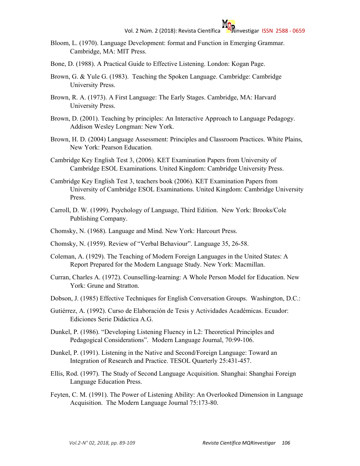- Bloom, L. (1970). Language Development: format and Function in Emerging Grammar. Cambridge, MA: MIT Press.
- Bone, D. (1988). A Practical Guide to Effective Listening. London: Kogan Page.
- Brown, G. & Yule G. (1983). Teaching the Spoken Language. Cambridge: Cambridge University Press.
- Brown, R. A. (1973). A First Language: The Early Stages. Cambridge, MA: Harvard University Press.
- Brown, D. (2001). Teaching by principles: An Interactive Approach to Language Pedagogy. Addison Wesley Longman: New York.
- Brown, H. D. (2004) Language Assessment: Principles and Classroom Practices. White Plains, New York: Pearson Education.
- Cambridge Key English Test 3, (2006). KET Examination Papers from University of Cambridge ESOL Examinations. United Kingdom: Cambridge University Press.
- Cambridge Key English Test 3, teachers book (2006). KET Examination Papers from University of Cambridge ESOL Examinations. United Kingdom: Cambridge University Press.
- Carroll, D. W. (1999). Psychology of Language, Third Edition. New York: Brooks/Cole Publishing Company.
- Chomsky, N. (1968). Language and Mind. New York: Harcourt Press.
- Chomsky, N. (1959). Review of "Verbal Behaviour". Language 35, 26-58.
- Coleman, A. (1929). The Teaching of Modern Foreign Languages in the United States: A Report Prepared for the Modern Language Study. New York: Macmillan.
- Curran, Charles A. (1972). Counselling-learning: A Whole Person Model for Education. New York: Grune and Stratton.
- Dobson, J. (1985) Effective Techniques for English Conversation Groups. Washington, D.C.:
- Gutiérrez, A. (1992). Curso de Elaboración de Tesis y Actividades Académicas. Ecuador: Ediciones Serie Didáctica A.G.
- Dunkel, P. (1986). "Developing Listening Fluency in L2: Theoretical Principles and Pedagogical Considerations". Modern Language Journal, 70:99-106.
- Dunkel, P. (1991). Listening in the Native and Second/Foreign Language: Toward an Integration of Research and Practice. TESOL Quarterly 25:431-457.
- Ellis, Rod. (1997). The Study of Second Language Acquisition. Shanghai: Shanghai Foreign Language Education Press.
- Feyten, C. M. (1991). The Power of Listening Ability: An Overlooked Dimension in Language Acquisition. The Modern Language Journal 75:173-80.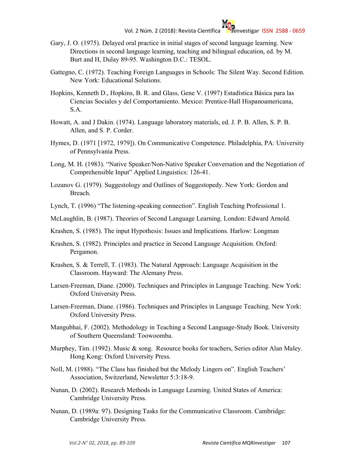- Gary, J. O. (1975). Delayed oral practice in initial stages of second language learning. New Directions in second language learning, teaching and bilingual education, ed. by M. Burt and H, Dulay 89-95. Washington D.C.: TESOL.
- Gattegno, C. (1972). Teaching Foreign Languages in Schools: The Silent Way. Second Edition. New York: Educational Solutions.
- Hopkins, Kenneth D., Hopkins, B. R. and Glass, Gene V. (1997) Estadística Básica para las Ciencias Sociales y del Comportamiento. Mexico: Prentice-Hall Hispanoamericana, S.A.
- Howatt, A. and J Dakin. (1974). Language laboratory materials, ed. J. P. B. Allen, S. P. B. Allen, and S. P. Corder.
- Hymes, D. (1971 [1972, 1979]). On Communicative Competence. Philadelphia, PA: University of Pennsylvania Press.
- Long, M. H. (1983). "Native Speaker/Non-Native Speaker Conversation and the Negotiation of Comprehensible Input" Applied Linguistics: 126-41.
- Lozanov G. (1979). Suggestology and Outlines of Suggestopedy. New York: Gordon and Breach.
- Lynch, T. (1996) "The listening-speaking connection". English Teaching Professional 1.
- McLaughlin, B. (1987). Theories of Second Language Learning. London: Edward Arnold.
- Krashen, S. (1985). The input Hypothesis: Issues and Implications. Harlow: Longman
- Krashen, S. (1982). Principles and practice in Second Language Acquisition. Oxford: Pergamon.
- Krashen, S. & Terrell, T. (1983). The Natural Approach: Language Acquisition in the Classroom. Hayward: The Alemany Press.
- Larsen-Freeman, Diane. (2000). Techniques and Principles in Language Teaching. New York: Oxford University Press.
- Larsen-Freeman, Diane. (1986). Techniques and Principles in Language Teaching. New York: Oxford University Press.
- Mangubhai, F. (2002). Methodology in Teaching a Second Language-Study Book. University of Southern Queensland: Toowoomba.
- Murphey, Tim. (1992). Music & song. Resource books for teachers, Series editor Alan Maley. Hong Kong: Oxford University Press.
- Noll, M. (1988). "The Class has finished but the Melody Lingers on". English Teachers' Association, Switzerland, Newsletter 5:3:18-9.
- Nunan, D. (2002). Research Methods in Language Learning. United States of America: Cambridge University Press.
- Nunan, D. (1989a: 97). Designing Tasks for the Communicative Classroom. Cambridge: Cambridge University Press.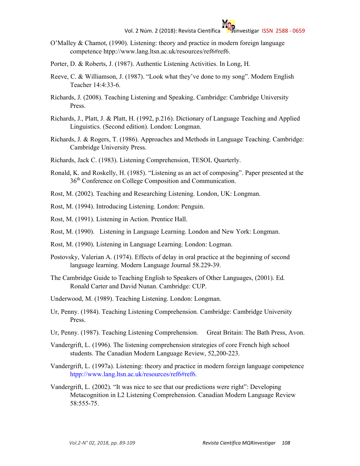- O'Malley & Chamot, (1990). Listening: theory and practice in modern foreign language competence htpp://www.lang.ltsn.ac.uk/resources/ref6#ref6.
- Porter, D. & Roberts, J. (1987). Authentic Listening Activities. In Long, H.
- Reeve, C. & Williamson, J. (1987). "Look what they've done to my song". Modern English Teacher 14:4:33-6.
- Richards, J. (2008). Teaching Listening and Speaking. Cambridge: Cambridge University Press.
- Richards, J., Platt, J. & Platt, H. (1992, p.216). Dictionary of Language Teaching and Applied Linguistics. (Second edition). London: Longman.
- Richards, J. & Rogers, T. (1986). Approaches and Methods in Language Teaching. Cambridge: Cambridge University Press.
- Richards, Jack C. (1983). Listening Comprehension, TESOL Quarterly.
- Ronald, K. and Roskelly, H. (1985). "Listening as an act of composing". Paper presented at the 36<sup>th</sup> Conference on College Composition and Communication.
- Rost, M. (2002). Teaching and Researching Listening. London, UK: Longman.
- Rost, M. (1994). Introducing Listening. London: Penguin.
- Rost, M. (1991). Listening in Action. Prentice Hall.
- Rost, M. (1990). Listening in Language Learning. London and New York: Longman.
- Rost, M. (1990). Listening in Language Learning. London: Logman.
- Postovsky, Valerian A. (1974). Effects of delay in oral practice at the beginning of second language learning. Modern Language Journal 58.229-39.
- The Cambridge Guide to Teaching English to Speakers of Other Languages, (2001). Ed. Ronald Carter and David Nunan. Cambridge: CUP.
- Underwood, M. (1989). Teaching Listening. London: Longman.
- Ur, Penny. (1984). Teaching Listening Comprehension. Cambridge: Cambridge University Press.
- Ur, Penny. (1987). Teaching Listening Comprehension. Great Britain: The Bath Press, Avon.
- Vandergrift, L. (1996). The listening comprehension strategies of core French high school students. The Canadian Modern Language Review, 52,200-223.
- Vandergrift, L. (1997a). Listening: theory and practice in modern foreign language competence htpp://www.lang.ltsn.ac.uk/resources/ref6#ref6.
- Vandergrift, L. (2002). "It was nice to see that our predictions were right": Developing Metacognition in L2 Listening Comprehension. Canadian Modern Language Review 58:555-75.